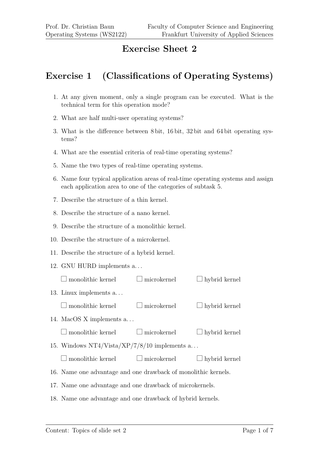## **Exercise Sheet 2**

## **Exercise 1 (Classifications of Operating Systems)**

- 1. At any given moment, only a single program can be executed. What is the technical term for this operation mode?
- 2. What are half multi-user operating systems?
- 3. What is the difference between 8 bit, 16 bit, 32 bit and 64 bit operating systems?
- 4. What are the essential criteria of real-time operating systems?
- 5. Name the two types of real-time operating systems.
- 6. Name four typical application areas of real-time operating systems and assign each application area to one of the categories of subtask 5.
- 7. Describe the structure of a thin kernel.
- 8. Describe the structure of a nano kernel.
- 9. Describe the structure of a monolithic kernel.
- 10. Describe the structure of a microkernel.
- 11. Describe the structure of a hybrid kernel.
- 12. GNU HURD implements a. . .

| monolithic kernel                                              | $\Box$ microkernel | $\Box$ hybrid kernel |  |  |
|----------------------------------------------------------------|--------------------|----------------------|--|--|
| 13. Linux implements a                                         |                    |                      |  |  |
| $\square$ monolithic kernel                                    | $\Box$ microkernel | $\Box$ hybrid kernel |  |  |
| 14. MacOS X implements a                                       |                    |                      |  |  |
| $\Box$ monolithic kernel                                       | $\Box$ microkernel | $\Box$ hybrid kernel |  |  |
| 15. Windows $NT4/Vista/XP/7/8/10$ implements a                 |                    |                      |  |  |
| monolithic kernel                                              | $\Box$ microkernel | $\Box$ hybrid kernel |  |  |
| 16. Name one advantage and one drawback of monolithic kernels. |                    |                      |  |  |
| 17. Name one advantage and one drawback of microkernels.       |                    |                      |  |  |
| 18. Name one advantage and one drawback of hybrid kernels.     |                    |                      |  |  |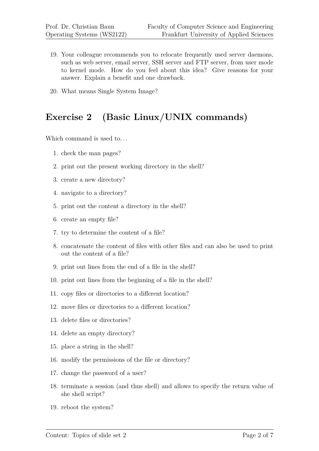- 19. Your colleague recommends you to relocate frequently used server daemons, such as web server, email server, SSH server and FTP server, from user mode to kernel mode. How do you feel about this idea? Give reasons for your answer. Explain a benefit and one drawback.
- 20. What means Single System Image?

# **Exercise 2 (Basic Linux/UNIX commands)**

Which command is used to...

- 1. check the man pages?
- 2. print out the present working directory in the shell?
- 3. create a new directory?
- 4. navigate to a directory?
- 5. print out the content a directory in the shell?
- 6. create an empty file?
- 7. try to determine the content of a file?
- 8. concatenate the content of files with other files and can also be used to print out the content of a file?
- 9. print out lines from the end of a file in the shell?
- 10. print out lines from the beginning of a file in the shell?
- 11. copy files or directories to a different location?
- 12. move files or directories to a different location?
- 13. delete files or directories?
- 14. delete an empty directory?
- 15. place a string in the shell?
- 16. modify the permissions of the file or directory?
- 17. change the password of a user?
- 18. terminate a session (and thus shell) and allows to specify the return value of she shell script?
- 19. reboot the system?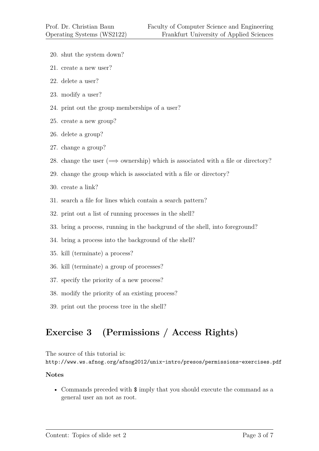- 20. shut the system down?
- 21. create a new user?
- 22. delete a user?
- 23. modify a user?
- 24. print out the group memberships of a user?
- 25. create a new group?
- 26. delete a group?
- 27. change a group?
- 28. change the user  $(\implies)$  ownership) which is associated with a file or directory?
- 29. change the group which is associated with a file or directory?
- 30. create a link?
- 31. search a file for lines which contain a search pattern?
- 32. print out a list of running processes in the shell?
- 33. bring a process, running in the backgrund of the shell, into foreground?
- 34. bring a process into the background of the shell?
- 35. kill (terminate) a process?
- 36. kill (terminate) a group of processes?
- 37. specify the priority of a new process?
- 38. modify the priority of an existing process?
- 39. print out the process tree in the shell?

# **Exercise 3 (Permissions / Access Rights)**

The source of this tutorial is: http://www.ws.afnog.org/afnog2012/unix-intro/presos/permissions-exercises.pdf

## **Notes**

• Commands preceded with  $\frac{1}{2}$  imply that you should execute the command as a general user an not as root.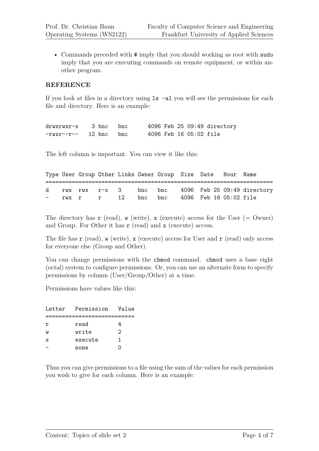• Commands preceded with # imply that you should working as root with sudo imply that you are executing commands on remote equipment, or within another program.

## **REFERENCE**

If you look at files in a directory using ls -al you will see the permissions for each file and directory. Here is an example:

drwxrwxr-x 3 bnc bnc 4096 Feb 25 09:49 directory -rwxr--r-- 12 bnc bnc 4096 Feb 16 05:02 file

The left column is important. You can view it like this:

|  |  |  | Type User Group Other Links Owner Group Size Date Hour Name |  |                                                     |
|--|--|--|-------------------------------------------------------------|--|-----------------------------------------------------|
|  |  |  |                                                             |  |                                                     |
|  |  |  |                                                             |  | d rwx rwx r-x 3 bnc bnc 4096 Feb 25 09:49 directory |
|  |  |  | - rwx r r 12 bnc bnc 4096 Feb 16 05:02 file                 |  |                                                     |

The directory has  $\mathbf r$  (read),  $\mathbf w$  (write),  $\mathbf x$  (execute) access for the User (= Owner) and Group. For Other it has  $r$  (read) and  $x$  (execute) access.

The file has  $\mathbf r$  (read),  $\mathbf w$  (write),  $\mathbf x$  (execute) access for User and  $\mathbf r$  (read) only access for everyone else (Group and Other).

You can change permissions with the chmod command. chmod uses a base eight (octal) system to configure permissions. Or, you can use an alternate form to specify permissions by column (User/Group/Other) at a time.

Permissions have values like this:

| Letter | Permission | Value |
|--------|------------|-------|
|        |            |       |
| r      | read       |       |
| W      | write      | 2     |
| x      | execute    | 1     |
|        | none       |       |

Thus you can give permissions to a file using the sum of the values for each permission you wish to give for each column. Here is an example: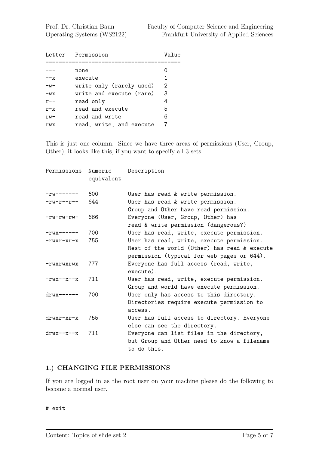|         | Letter Permission        | Value |
|---------|--------------------------|-------|
|         |                          |       |
|         | none                     |       |
| --х     | execute                  | 1     |
| $-w-$   | write only (rarely used) | 2     |
| $-WX$   | write and execute (rare) | 3     |
| $r$ – – | read only                | 4     |
| $r-x$   | read and execute         | 5     |
| $rw-$   | read and write           | 6     |
| rwx     | read, write, and execute |       |

This is just one column. Since we have three areas of permissions (User, Group, Other), it looks like this, if you want to specify all 3 sets:

| Permissions          | Numeric<br>equivalent | Description                                                                                                                             |
|----------------------|-----------------------|-----------------------------------------------------------------------------------------------------------------------------------------|
| $-rw------$          | 600                   | User has read & write permission.                                                                                                       |
| $-rw-r--r--$         | 644                   | User has read & write permission.<br>Group and Other have read permission.                                                              |
| $-rw-rw-rw-$         | 666                   | Everyone (User, Group, Other) has<br>read & write permission (dangerous?)                                                               |
| $-rwx---$            | 700                   | User has read, write, execute permission.                                                                                               |
| $-rwxr-xr-x$         | 755                   | User has read, write, execute permission.<br>Rest of the world (Other) has read & execute<br>permission (typical for web pages or 644). |
| -rwxrwxrwx           | 777                   | Everyone has full access (read, write,<br>execute).                                                                                     |
| $-rwx-x-x$           | 711                   | User has read, write, execute permission.<br>Group and world have execute permission.                                                   |
| $drwy-----$          | 700                   | User only has access to this directory.<br>Directories require execute permission to<br>access.                                         |
| $drwxr-xr-x$         | 755                   | User has full access to directory. Everyone<br>else can see the directory.                                                              |
| $\text{drw}$ x--x--x | 711                   | Everyone can list files in the directory,<br>but Group and Other need to know a filename<br>to do this.                                 |

## **1.) CHANGING FILE PERMISSIONS**

If you are logged in as the root user on your machine please do the following to become a normal user.

#### # exit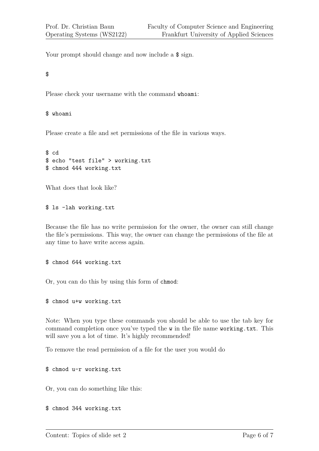Your prompt should change and now include a  $\frac{1}{2}$  sign.

\$

Please check your username with the command whoami:

## \$ whoami

Please create a file and set permissions of the file in various ways.

\$ cd \$ echo "test file" > working.txt \$ chmod 444 working.txt

What does that look like?

\$ ls -lah working.txt

Because the file has no write permission for the owner, the owner can still change the file's permissions. This way, the owner can change the permissions of the file at any time to have write access again.

\$ chmod 644 working.txt

Or, you can do this by using this form of chmod:

\$ chmod u+w working.txt

Note: When you type these commands you should be able to use the tab key for command completion once you've typed the w in the file name working.txt. This will save you a lot of time. It's highly recommended!

To remove the read permission of a file for the user you would do

\$ chmod u-r working.txt

Or, you can do something like this:

\$ chmod 344 working.txt